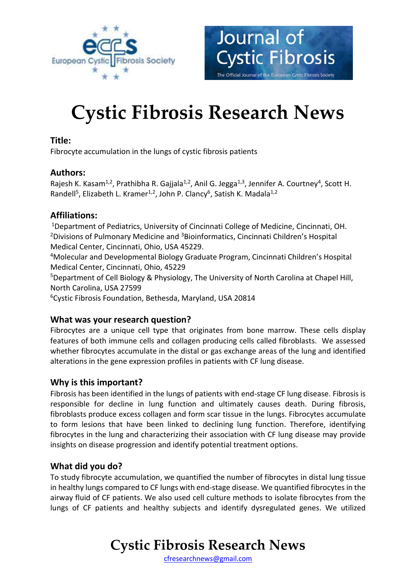



# **Cystic Fibrosis Research News**

### **Title:**

Fibrocyte accumulation in the lungs of cystic fibrosis patients

### **Authors:**

Rajesh K. Kasam<sup>1,2</sup>, Prathibha R. Gajjala<sup>1,2</sup>, Anil G. Jegga<sup>1,3</sup>, Jennifer A. Courtney<sup>4</sup>, Scott H. Randell<sup>5</sup>, Elizabeth L. Kramer<sup>1,2</sup>, John P. Clancy<sup>6</sup>, Satish K. Madala<sup>1,2</sup>

# **Affiliations:**

<sup>1</sup>Department of Pediatrics, University of Cincinnati College of Medicine, Cincinnati, OH. <sup>2</sup>Divisions of Pulmonary Medicine and <sup>3</sup>Bioinformatics, Cincinnati Children's Hospital Medical Center, Cincinnati, Ohio, USA 45229.

<sup>4</sup>Molecular and Developmental Biology Graduate Program, Cincinnati Children's Hospital Medical Center, Cincinnati, Ohio, 45229

<sup>5</sup>Department of Cell Biology & Physiology, The University of North Carolina at Chapel Hill, North Carolina, USA 27599

<sup>6</sup>Cystic Fibrosis Foundation, Bethesda, Maryland, USA 20814

# **What was your research question?**

Fibrocytes are a unique cell type that originates from bone marrow. These cells display features of both immune cells and collagen producing cells called fibroblasts. We assessed whether fibrocytes accumulate in the distal or gas exchange areas of the lung and identified alterations in the gene expression profiles in patients with CF lung disease.

# **Why is this important?**

Fibrosis has been identified in the lungs of patients with end-stage CF lung disease. Fibrosis is responsible for decline in lung function and ultimately causes death. During fibrosis, fibroblasts produce excess collagen and form scar tissue in the lungs. Fibrocytes accumulate to form lesions that have been linked to declining lung function. Therefore, identifying fibrocytes in the lung and characterizing their association with CF lung disease may provide insights on disease progression and identify potential treatment options.

# **What did you do?**

To study fibrocyte accumulation, we quantified the number of fibrocytes in distal lung tissue in healthy lungs compared to CF lungs with end-stage disease. We quantified fibrocytes in the airway fluid of CF patients. We also used cell culture methods to isolate fibrocytes from the lungs of CF patients and healthy subjects and identify dysregulated genes. We utilized

# **Cystic Fibrosis Research News**

[cfresearchnews@gmail.com](mailto:cfresearchnews@gmail.com)